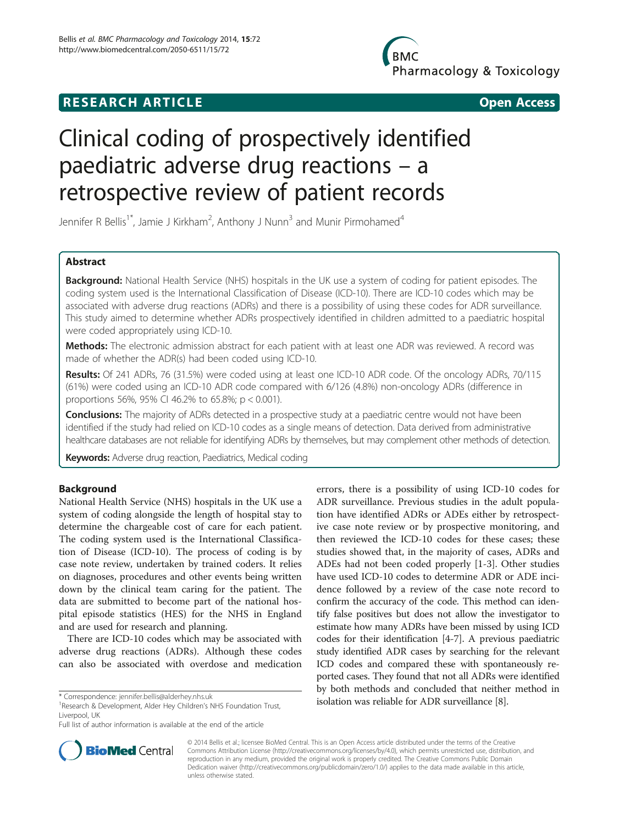# **RESEARCH ARTICLE CONSUMING A RESEARCH ARTICLE**

**BMC** Pharmacology & Toxicology

# Clinical coding of prospectively identified paediatric adverse drug reactions – a retrospective review of patient records

Jennifer R Bellis<sup>1\*</sup>, Jamie J Kirkham<sup>2</sup>, Anthony J Nunn<sup>3</sup> and Munir Pirmohamed<sup>4</sup>

# Abstract

Background: National Health Service (NHS) hospitals in the UK use a system of coding for patient episodes. The coding system used is the International Classification of Disease (ICD-10). There are ICD-10 codes which may be associated with adverse drug reactions (ADRs) and there is a possibility of using these codes for ADR surveillance. This study aimed to determine whether ADRs prospectively identified in children admitted to a paediatric hospital were coded appropriately using ICD-10.

Methods: The electronic admission abstract for each patient with at least one ADR was reviewed. A record was made of whether the ADR(s) had been coded using ICD-10.

Results: Of 241 ADRs, 76 (31.5%) were coded using at least one ICD-10 ADR code. Of the oncology ADRs, 70/115 (61%) were coded using an ICD-10 ADR code compared with 6/126 (4.8%) non-oncology ADRs (difference in proportions 56%, 95% CI 46.2% to 65.8%; p < 0.001).

Conclusions: The majority of ADRs detected in a prospective study at a paediatric centre would not have been identified if the study had relied on ICD-10 codes as a single means of detection. Data derived from administrative healthcare databases are not reliable for identifying ADRs by themselves, but may complement other methods of detection.

Keywords: Adverse drug reaction, Paediatrics, Medical coding

# Background

National Health Service (NHS) hospitals in the UK use a system of coding alongside the length of hospital stay to determine the chargeable cost of care for each patient. The coding system used is the International Classification of Disease (ICD-10). The process of coding is by case note review, undertaken by trained coders. It relies on diagnoses, procedures and other events being written down by the clinical team caring for the patient. The data are submitted to become part of the national hospital episode statistics (HES) for the NHS in England and are used for research and planning.

There are ICD-10 codes which may be associated with adverse drug reactions (ADRs). Although these codes can also be associated with overdose and medication

errors, there is a possibility of using ICD-10 codes for ADR surveillance. Previous studies in the adult population have identified ADRs or ADEs either by retrospective case note review or by prospective monitoring, and then reviewed the ICD-10 codes for these cases; these studies showed that, in the majority of cases, ADRs and ADEs had not been coded properly [[1-3](#page-3-0)]. Other studies have used ICD-10 codes to determine ADR or ADE incidence followed by a review of the case note record to confirm the accuracy of the code. This method can identify false positives but does not allow the investigator to estimate how many ADRs have been missed by using ICD codes for their identification [[4-7\]](#page-3-0). A previous paediatric study identified ADR cases by searching for the relevant ICD codes and compared these with spontaneously reported cases. They found that not all ADRs were identified by both methods and concluded that neither method in \* Correspondence: jennifer.bellis@alderhey.nhs.uk isolation Trust isolation was reliable for ADR surveillance [[8](#page-3-0)].



© 2014 Bellis et al.; licensee BioMed Central. This is an Open Access article distributed under the terms of the Creative Commons Attribution License [\(http://creativecommons.org/licenses/by/4.0\)](http://creativecommons.org/licenses/by/4.0), which permits unrestricted use, distribution, and reproduction in any medium, provided the original work is properly credited. The Creative Commons Public Domain Dedication waiver [\(http://creativecommons.org/publicdomain/zero/1.0/](http://creativecommons.org/publicdomain/zero/1.0/)) applies to the data made available in this article, unless otherwise stated.

<sup>&</sup>lt;sup>1</sup> Research & Development, Alder Hey Children's NHS Foundation Trust, Liverpool, UK

Full list of author information is available at the end of the article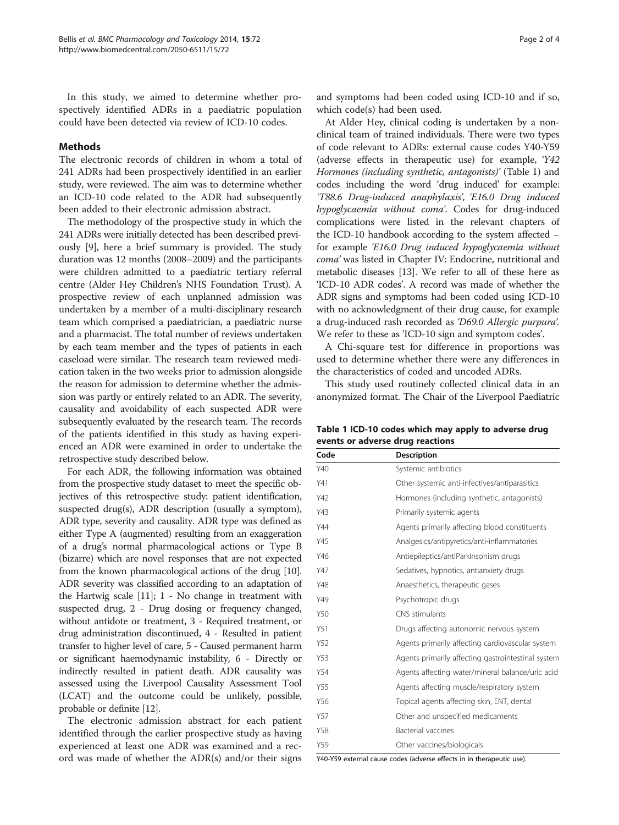In this study, we aimed to determine whether prospectively identified ADRs in a paediatric population could have been detected via review of ICD-10 codes.

# **Methods**

The electronic records of children in whom a total of 241 ADRs had been prospectively identified in an earlier study, were reviewed. The aim was to determine whether an ICD-10 code related to the ADR had subsequently been added to their electronic admission abstract.

The methodology of the prospective study in which the 241 ADRs were initially detected has been described previously [\[9](#page-3-0)], here a brief summary is provided. The study duration was 12 months (2008–2009) and the participants were children admitted to a paediatric tertiary referral centre (Alder Hey Children's NHS Foundation Trust). A prospective review of each unplanned admission was undertaken by a member of a multi-disciplinary research team which comprised a paediatrician, a paediatric nurse and a pharmacist. The total number of reviews undertaken by each team member and the types of patients in each caseload were similar. The research team reviewed medication taken in the two weeks prior to admission alongside the reason for admission to determine whether the admission was partly or entirely related to an ADR. The severity, causality and avoidability of each suspected ADR were subsequently evaluated by the research team. The records of the patients identified in this study as having experienced an ADR were examined in order to undertake the retrospective study described below.

For each ADR, the following information was obtained from the prospective study dataset to meet the specific objectives of this retrospective study: patient identification, suspected drug(s), ADR description (usually a symptom), ADR type, severity and causality. ADR type was defined as either Type A (augmented) resulting from an exaggeration of a drug's normal pharmacological actions or Type B (bizarre) which are novel responses that are not expected from the known pharmacological actions of the drug [\[10](#page-3-0)]. ADR severity was classified according to an adaptation of the Hartwig scale [\[11\]](#page-3-0); 1 - No change in treatment with suspected drug, 2 - Drug dosing or frequency changed, without antidote or treatment, 3 - Required treatment, or drug administration discontinued, 4 - Resulted in patient transfer to higher level of care, 5 - Caused permanent harm or significant haemodynamic instability, 6 - Directly or indirectly resulted in patient death. ADR causality was assessed using the Liverpool Causality Assessment Tool (LCAT) and the outcome could be unlikely, possible, probable or definite [\[12](#page-3-0)].

The electronic admission abstract for each patient identified through the earlier prospective study as having experienced at least one ADR was examined and a record was made of whether the ADR(s) and/or their signs

and symptoms had been coded using ICD-10 and if so, which code(s) had been used.

At Alder Hey, clinical coding is undertaken by a nonclinical team of trained individuals. There were two types of code relevant to ADRs: external cause codes Y40-Y59 (adverse effects in therapeutic use) for example, 'Y42 Hormones (including synthetic, antagonists)' (Table 1) and codes including the word 'drug induced' for example: 'T88.6 Drug-induced anaphylaxis', 'E16.0 Drug induced hypoglycaemia without coma'. Codes for drug-induced complications were listed in the relevant chapters of the ICD-10 handbook according to the system affected – for example 'E16.0 Drug induced hypoglycaemia without coma' was listed in Chapter IV: Endocrine, nutritional and metabolic diseases [[13](#page-3-0)]. We refer to all of these here as 'ICD-10 ADR codes'. A record was made of whether the ADR signs and symptoms had been coded using ICD-10 with no acknowledgment of their drug cause, for example a drug-induced rash recorded as 'D69.0 Allergic purpura'. We refer to these as 'ICD-10 sign and symptom codes'.

A Chi-square test for difference in proportions was used to determine whether there were any differences in the characteristics of coded and uncoded ADRs.

This study used routinely collected clinical data in an anonymized format. The Chair of the Liverpool Paediatric

Table 1 ICD-10 codes which may apply to adverse drug events or adverse drug reactions

| Code | <b>Description</b>                                 |  |
|------|----------------------------------------------------|--|
| Y40  | Systemic antibiotics                               |  |
| Y41  | Other systemic anti-infectives/antiparasitics      |  |
| Y42  | Hormones (including synthetic, antagonists)        |  |
| Y43  | Primarily systemic agents                          |  |
| Y44  | Agents primarily affecting blood constituents      |  |
| Y45  | Analgesics/antipyretics/anti-inflammatories        |  |
| Y46  | Antiepileptics/antiParkinsonism drugs              |  |
| Y47  | Sedatives, hypnotics, antianxiety drugs            |  |
| Y48  | Anaesthetics, therapeutic gases                    |  |
| Y49  | Psychotropic drugs                                 |  |
| Y50  | CNS stimulants                                     |  |
| Y51  | Drugs affecting autonomic nervous system           |  |
| Y52  | Agents primarily affecting cardiovascular system   |  |
| Y53  | Agents primarily affecting gastrointestinal system |  |
| Y54  | Agents affecting water/mineral balance/uric acid   |  |
| Y55  | Agents affecting muscle/respiratory system         |  |
| Y56  | Topical agents affecting skin, ENT, dental         |  |
| Y57  | Other and unspecified medicaments                  |  |
| Y58  | Bacterial vaccines                                 |  |
| Y59  | Other vaccines/biologicals                         |  |

Y40-Y59 external cause codes (adverse effects in in therapeutic use).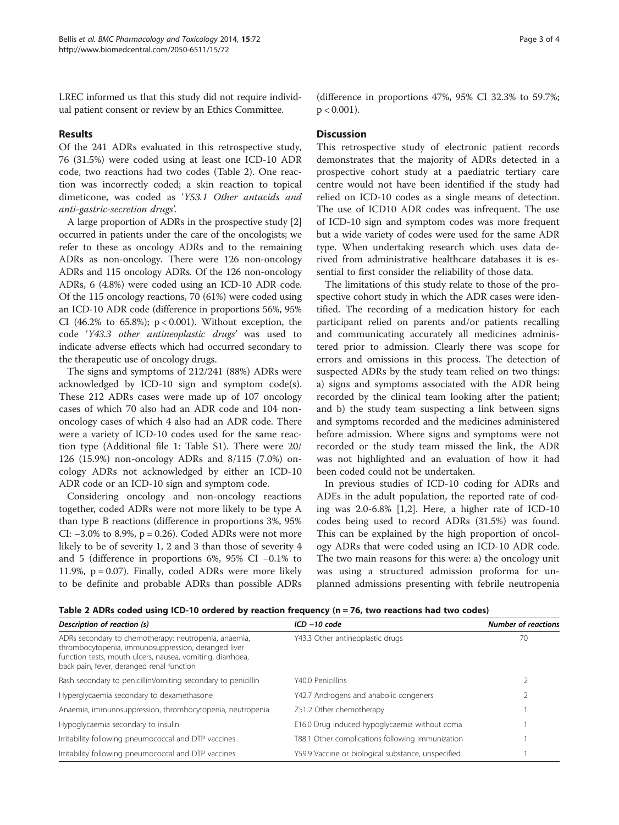LREC informed us that this study did not require individual patient consent or review by an Ethics Committee.

# Results

Of the 241 ADRs evaluated in this retrospective study, 76 (31.5%) were coded using at least one ICD-10 ADR code, two reactions had two codes (Table 2). One reaction was incorrectly coded; a skin reaction to topical dimeticone, was coded as 'Y53.1 Other antacids and anti-gastric-secretion drugs'.

A large proportion of ADRs in the prospective study [[2](#page-3-0)] occurred in patients under the care of the oncologists; we refer to these as oncology ADRs and to the remaining ADRs as non-oncology. There were 126 non-oncology ADRs and 115 oncology ADRs. Of the 126 non-oncology ADRs, 6 (4.8%) were coded using an ICD-10 ADR code. Of the 115 oncology reactions, 70 (61%) were coded using an ICD-10 ADR code (difference in proportions 56%, 95% CI (46.2% to 65.8%);  $p < 0.001$ ). Without exception, the code 'Y43.3 other antineoplastic drugs' was used to indicate adverse effects which had occurred secondary to the therapeutic use of oncology drugs.

The signs and symptoms of 212/241 (88%) ADRs were acknowledged by ICD-10 sign and symptom code(s). These 212 ADRs cases were made up of 107 oncology cases of which 70 also had an ADR code and 104 nononcology cases of which 4 also had an ADR code. There were a variety of ICD-10 codes used for the same reaction type (Additional file [1:](#page-3-0) Table S1). There were 20/ 126 (15.9%) non-oncology ADRs and 8/115 (7.0%) oncology ADRs not acknowledged by either an ICD-10 ADR code or an ICD-10 sign and symptom code.

Considering oncology and non-oncology reactions together, coded ADRs were not more likely to be type A than type B reactions (difference in proportions 3%, 95% CI:  $-3.0\%$  to 8.9%, p = 0.26). Coded ADRs were not more likely to be of severity 1, 2 and 3 than those of severity 4 and 5 (difference in proportions 6%, 95% CI −0.1% to 11.9%,  $p = 0.07$ ). Finally, coded ADRs were more likely to be definite and probable ADRs than possible ADRs (difference in proportions 47%, 95% CI 32.3% to 59.7%;  $p < 0.001$ ).

## **Discussion**

This retrospective study of electronic patient records demonstrates that the majority of ADRs detected in a prospective cohort study at a paediatric tertiary care centre would not have been identified if the study had relied on ICD-10 codes as a single means of detection. The use of ICD10 ADR codes was infrequent. The use of ICD-10 sign and symptom codes was more frequent but a wide variety of codes were used for the same ADR type. When undertaking research which uses data derived from administrative healthcare databases it is essential to first consider the reliability of those data.

The limitations of this study relate to those of the prospective cohort study in which the ADR cases were identified. The recording of a medication history for each participant relied on parents and/or patients recalling and communicating accurately all medicines administered prior to admission. Clearly there was scope for errors and omissions in this process. The detection of suspected ADRs by the study team relied on two things: a) signs and symptoms associated with the ADR being recorded by the clinical team looking after the patient; and b) the study team suspecting a link between signs and symptoms recorded and the medicines administered before admission. Where signs and symptoms were not recorded or the study team missed the link, the ADR was not highlighted and an evaluation of how it had been coded could not be undertaken.

In previous studies of ICD-10 coding for ADRs and ADEs in the adult population, the reported rate of coding was 2.0-6.8% [[1,2\]](#page-3-0). Here, a higher rate of ICD-10 codes being used to record ADRs (31.5%) was found. This can be explained by the high proportion of oncology ADRs that were coded using an ICD-10 ADR code. The two main reasons for this were: a) the oncology unit was using a structured admission proforma for unplanned admissions presenting with febrile neutropenia

| Table 2 ADRs coded using ICD-10 ordered by reaction frequency (n = 76, two reactions had two codes) |  |
|-----------------------------------------------------------------------------------------------------|--|
|-----------------------------------------------------------------------------------------------------|--|

| Description of reaction (s)                                                                                                                                                                                             | $ICD - 10 code$                                    | <b>Number of reactions</b> |
|-------------------------------------------------------------------------------------------------------------------------------------------------------------------------------------------------------------------------|----------------------------------------------------|----------------------------|
| ADRs secondary to chemotherapy: neutropenia, anaemia,<br>thrombocytopenia, immunosuppression, deranged liver<br>function tests, mouth ulcers, nausea, vomiting, diarrhoea,<br>back pain, fever, deranged renal function | Y43.3 Other antineoplastic drugs                   | 70                         |
| Rash secondary to penicillinVomiting secondary to penicillin                                                                                                                                                            | Y40.0 Penicillins                                  |                            |
| Hyperglycaemia secondary to dexamethasone                                                                                                                                                                               | Y42.7 Androgens and anabolic congeners             |                            |
| Anaemia, immunosuppression, thrombocytopenia, neutropenia                                                                                                                                                               | Z51.2 Other chemotherapy                           |                            |
| Hypoglycaemia secondary to insulin                                                                                                                                                                                      | E16.0 Drug induced hypoglycaemia without coma      |                            |
| Irritability following pneumococcal and DTP vaccines                                                                                                                                                                    | T88.1 Other complications following immunization   |                            |
| Irritability following pneumococcal and DTP vaccines                                                                                                                                                                    | Y59.9 Vaccine or biological substance, unspecified |                            |